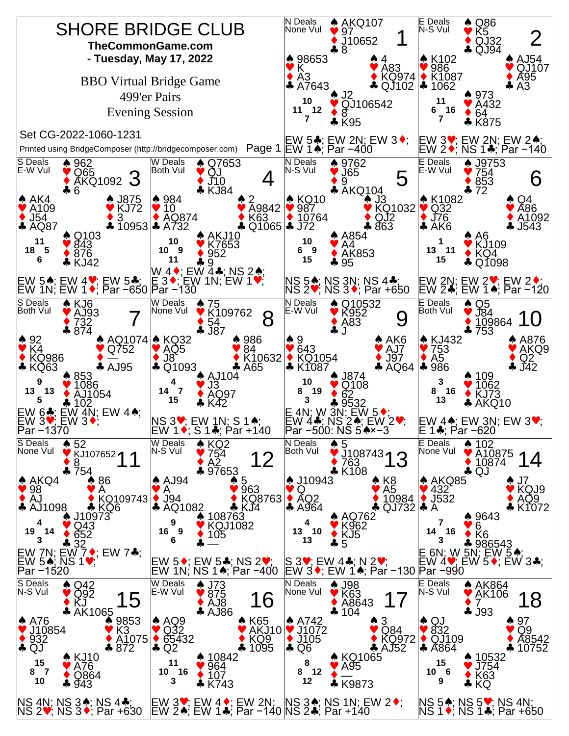